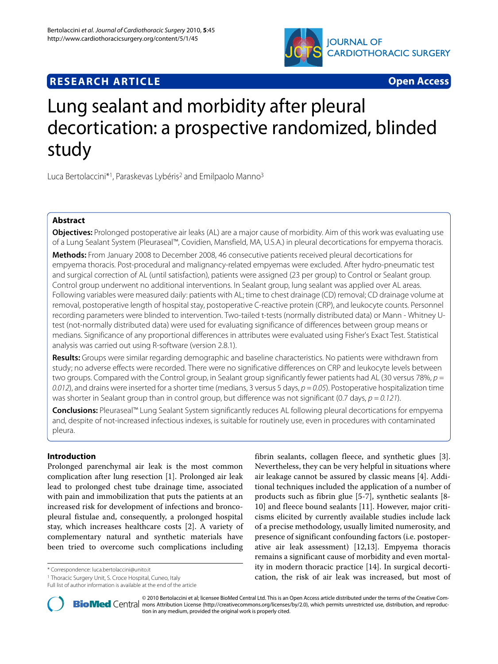

## **RESEARCH ARTICLE Open Access**

# Lung sealant and morbidity after pleural decortication: a prospective randomized, blinded study

Luca Bertolaccini\*1, Paraskevas Lybéris2 and Emilpaolo Manno3

## **Abstract**

**Objectives:** Prolonged postoperative air leaks (AL) are a major cause of morbidity. Aim of this work was evaluating use of a Lung Sealant System (Pleuraseal™, Covidien, Mansfield, MA, U.S.A.) in pleural decortications for empyema thoracis.

**Methods:** From January 2008 to December 2008, 46 consecutive patients received pleural decortications for empyema thoracis. Post-procedural and malignancy-related empyemas were excluded. After hydro-pneumatic test and surgical correction of AL (until satisfaction), patients were assigned (23 per group) to Control or Sealant group. Control group underwent no additional interventions. In Sealant group, lung sealant was applied over AL areas. Following variables were measured daily: patients with AL; time to chest drainage (CD) removal; CD drainage volume at removal, postoperative length of hospital stay, postoperative C-reactive protein (CRP), and leukocyte counts. Personnel recording parameters were blinded to intervention. Two-tailed t-tests (normally distributed data) or Mann - Whitney Utest (not-normally distributed data) were used for evaluating significance of differences between group means or medians. Significance of any proportional differences in attributes were evaluated using Fisher's Exact Test. Statistical analysis was carried out using R-software (version 2.8.1).

**Results:** Groups were similar regarding demographic and baseline characteristics. No patients were withdrawn from study; no adverse effects were recorded. There were no significative differences on CRP and leukocyte levels between two groups. Compared with the Control group, in Sealant group significantly fewer patients had AL (30 versus 78%,  $p =$ 0.012), and drains were inserted for a shorter time (medians, 3 versus 5 days,  $p = 0.05$ ). Postoperative hospitalization time was shorter in Sealant group than in control group, but difference was not significant (0.7 days,  $p = 0.121$ ).

**Conclusions:** Pleuraseal™ Lung Sealant System significantly reduces AL following pleural decortications for empyema and, despite of not-increased infectious indexes, is suitable for routinely use, even in procedures with contaminated pleura.

## **Introduction**

Prolonged parenchymal air leak is the most common complication after lung resection [[1\]](#page-3-0). Prolonged air leak lead to prolonged chest tube drainage time, associated with pain and immobilization that puts the patients at an increased risk for development of infections and broncopleural fistulae and, consequently, a prolonged hospital stay, which increases healthcare costs [\[2](#page-3-1)]. A variety of complementary natural and synthetic materials have been tried to overcome such complications including

\* Correspondence: luca.bertolaccini@unito.it

Full list of author information is available at the end of the article

fibrin sealants, collagen fleece, and synthetic glues [\[3](#page-3-2)]. Nevertheless, they can be very helpful in situations where air leakage cannot be assured by classic means [[4\]](#page-3-3). Additional techniques included the application of a number of products such as fibrin glue [\[5](#page-3-4)-[7\]](#page-3-5), synthetic sealants [\[8](#page-3-6)- [10\]](#page-3-7) and fleece bound sealants [\[11](#page-3-8)]. However, major criticisms elicited by currently available studies include lack of a precise methodology, usually limited numerosity, and presence of significant confounding factors (i.e. postoperative air leak assessment) [\[12](#page-3-9)[,13](#page-3-10)]. Empyema thoracis remains a significant cause of morbidity and even mortality in modern thoracic practice [[14\]](#page-3-11). In surgical decortication, the risk of air leak was increased, but most of



© 2010 Bertolaccini et al; licensee [BioMed](http://www.biomedcentral.com/) Central Ltd. This is an Open Access article distributed under the terms of the Creative Com-<br>Bio Med Central mons Attribution License (http://creativecommons.org/licenses/by/2.0), tion in any medium, provided the original work is properly cited.

<sup>&</sup>lt;sup>1</sup> Thoracic Surgery Unit, S. Croce Hospital, Cuneo, Italy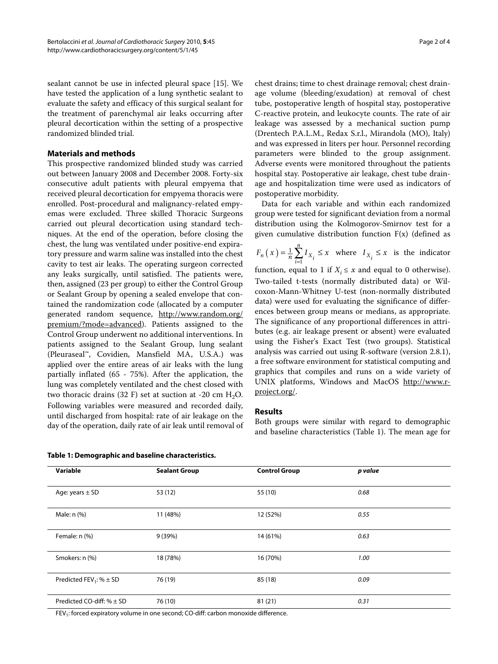sealant cannot be use in infected pleural space [\[15](#page-3-12)]. We have tested the application of a lung synthetic sealant to evaluate the safety and efficacy of this surgical sealant for the treatment of parenchymal air leaks occurring after pleural decortication within the setting of a prospective randomized blinded trial.

#### **Materials and methods**

This prospective randomized blinded study was carried out between January 2008 and December 2008. Forty-six consecutive adult patients with pleural empyema that received pleural decortication for empyema thoracis were enrolled. Post-procedural and malignancy-related empyemas were excluded. Three skilled Thoracic Surgeons carried out pleural decortication using standard techniques. At the end of the operation, before closing the chest, the lung was ventilated under positive-end expiratory pressure and warm saline was installed into the chest cavity to test air leaks. The operating surgeon corrected any leaks surgically, until satisfied. The patients were, then, assigned (23 per group) to either the Control Group or Sealant Group by opening a sealed envelope that contained the randomization code (allocated by a computer generated random sequence, [http://www.random.org/](http://www.random.org/premium/?mode=advanced) [premium/?mode=advanced](http://www.random.org/premium/?mode=advanced)). Patients assigned to the Control Group underwent no additional interventions. In patients assigned to the Sealant Group, lung sealant (Pleuraseal™, Covidien, Mansfield MA, U.S.A.) was applied over the entire areas of air leaks with the lung partially inflated (65 - 75%). After the application, the lung was completely ventilated and the chest closed with two thoracic drains (32 F) set at suction at -20 cm  $H_2O$ . Following variables were measured and recorded daily, until discharged from hospital: rate of air leakage on the day of the operation, daily rate of air leak until removal of

**Table 1: Demographic and baseline characteristics.**

chest drains; time to chest drainage removal; chest drainage volume (bleeding/exudation) at removal of chest tube, postoperative length of hospital stay, postoperative C-reactive protein, and leukocyte counts. The rate of air leakage was assessed by a mechanical suction pump (Drentech P.A.L.M., Redax S.r.l., Mirandola (MO), Italy) and was expressed in liters per hour. Personnel recording parameters were blinded to the group assignment. Adverse events were monitored throughout the patients hospital stay. Postoperative air leakage, chest tube drainage and hospitalization time were used as indicators of postoperative morbidity.

Data for each variable and within each randomized group were tested for significant deviation from a normal distribution using the Kolmogorov-Smirnov test for a given cumulative distribution function  $F(x)$  (defined as

 $F_n(x) = \frac{1}{n} \sum_{i=1}^{n} I_{X_i} \leq x$  where  $I_{X_i} \leq x$  is the indicator function, equal to 1 if  $X_i \leq x$  and equal to 0 otherwise). Two-tailed t-tests (normally distributed data) or Wilcoxon-Mann-Whitney U-test (non-normally distributed data) were used for evaluating the significance of differences between group means or medians, as appropriate. The significance of any proportional differences in attributes (e.g. air leakage present or absent) were evaluated using the Fisher's Exact Test (two groups). Statistical analysis was carried out using R-software (version 2.8.1), a free software environment for statistical computing and graphics that compiles and runs on a wide variety of UNIX platforms, Windows and MacOS [http://www.r](http://www.r-project.org/)[project.org/](http://www.r-project.org/).

#### **Results**

Both groups were similar with regard to demographic and baseline characteristics (Table 1). The mean age for

| Variable                                | <b>Sealant Group</b> | <b>Control Group</b> | p value |  |
|-----------------------------------------|----------------------|----------------------|---------|--|
| Age: years $\pm$ SD                     | 53 (12)              | 55 (10)              | 0.68    |  |
| Male: n (%)                             | 11 (48%)             | 12 (52%)             | 0.55    |  |
| Female: n (%)                           | 9 (39%)              | 14 (61%)             | 0.63    |  |
| Smokers: n (%)                          | 18 (78%)             | 16 (70%)             | 1.00    |  |
| Predicted FEV <sub>1</sub> : % $\pm$ SD | 76 (19)              | 85 (18)              | 0.09    |  |
| Predicted CO-diff: $% \pm SD$           | 76 (10)              | 81(21)               | 0.31    |  |

FEV<sub>1</sub>: forced expiratory volume in one second; CO-diff: carbon monoxide difference.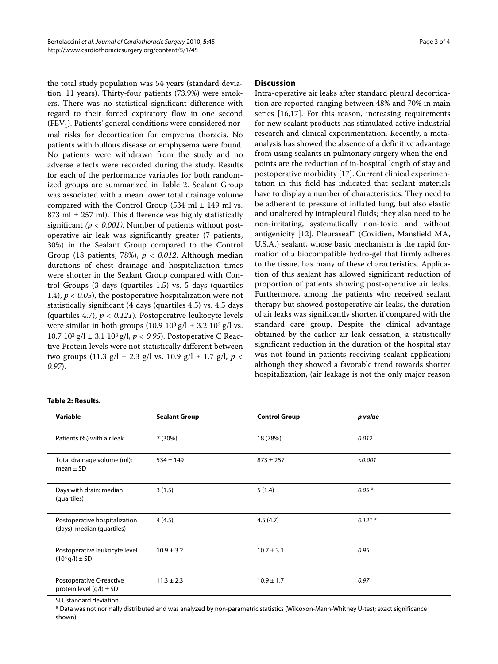the total study population was 54 years (standard deviation: 11 years). Thirty-four patients (73.9%) were smokers. There was no statistical significant difference with regard to their forced expiratory flow in one second  $(FEV<sub>1</sub>)$ . Patients' general conditions were considered normal risks for decortication for empyema thoracis. No patients with bullous disease or emphysema were found. No patients were withdrawn from the study and no adverse effects were recorded during the study. Results for each of the performance variables for both randomized groups are summarized in Table 2. Sealant Group was associated with a mean lower total drainage volume compared with the Control Group (534 ml  $\pm$  149 ml vs. 873 ml  $\pm$  257 ml). This difference was highly statistically significant *(p < 0.001)*. Number of patients without postoperative air leak was significantly greater (7 patients, 30%) in the Sealant Group compared to the Control Group (18 patients, 78%), *p < 0.012*. Although median durations of chest drainage and hospitalization times were shorter in the Sealant Group compared with Control Groups (3 days (quartiles 1.5) vs. 5 days (quartiles 1.4),  $p < 0.05$ ), the postoperative hospitalization were not statistically significant (4 days (quartiles 4.5) vs. 4.5 days (quartiles 4.7), *p < 0.121*). Postoperative leukocyte levels were similar in both groups  $(10.9 \t10^3 \t\text{g/l} \t\t\pm 3.2 \t10^3 \t\text{g/l} \t\t \text{vs.})$ 10.7 103 g/l ± 3.1 103 g/l, *p < 0.95*). Postoperative C Reactive Protein levels were not statistically different between two groups (11.3 g/l ± 2.3 g/l vs. 10.9 g/l ± 1.7 g/l, *p < 0.97*).

### **Table 2: Results.**

#### **Discussion**

Intra-operative air leaks after standard pleural decortication are reported ranging between 48% and 70% in main series [\[16](#page-3-13)[,17](#page-3-14)]. For this reason, increasing requirements for new sealant products has stimulated active industrial research and clinical experimentation. Recently, a metaanalysis has showed the absence of a definitive advantage from using sealants in pulmonary surgery when the endpoints are the reduction of in-hospital length of stay and postoperative morbidity [\[17](#page-3-14)]. Current clinical experimentation in this field has indicated that sealant materials have to display a number of characteristics. They need to be adherent to pressure of inflated lung, but also elastic and unaltered by intrapleural fluids; they also need to be non-irritating, systematically non-toxic, and without antigenicity [[12](#page-3-9)]. Pleuraseal™ (Covidien, Mansfield MA, U.S.A.) sealant, whose basic mechanism is the rapid formation of a biocompatible hydro-gel that firmly adheres to the tissue, has many of these characteristics. Application of this sealant has allowed significant reduction of proportion of patients showing post-operative air leaks. Furthermore, among the patients who received sealant therapy but showed postoperative air leaks, the duration of air leaks was significantly shorter, if compared with the standard care group. Despite the clinical advantage obtained by the earlier air leak cessation, a statistically significant reduction in the duration of the hospital stay was not found in patients receiving sealant application; although they showed a favorable trend towards shorter hospitalization, (air leakage is not the only major reason

| Variable                                                    | <b>Sealant Group</b> | <b>Control Group</b> | p value  |  |
|-------------------------------------------------------------|----------------------|----------------------|----------|--|
| Patients (%) with air leak                                  | 7 (30%)              | 18 (78%)             | 0.012    |  |
| Total drainage volume (ml):<br>mean $\pm$ SD                | $534 \pm 149$        | $873 \pm 257$        | < 0.001  |  |
| Days with drain: median<br>(quartiles)                      | 3(1.5)               | 5(1.4)               | $0.05*$  |  |
| Postoperative hospitalization<br>(days): median (quartiles) | 4(4.5)               | 4.5(4.7)             | $0.121*$ |  |
| Postoperative leukocyte level<br>$(10^3 q/l) \pm SD$        | $10.9 \pm 3.2$       | $10.7 \pm 3.1$       | 0.95     |  |
| Postoperative C-reactive<br>protein level $(q/l) \pm SD$    | $11.3 \pm 2.3$       | $10.9 \pm 1.7$       | 0.97     |  |

SD, standard deviation.

\* Data was not normally distributed and was analyzed by non-parametric statistics (Wilcoxon-Mann-Whitney U-test; exact significance shown)